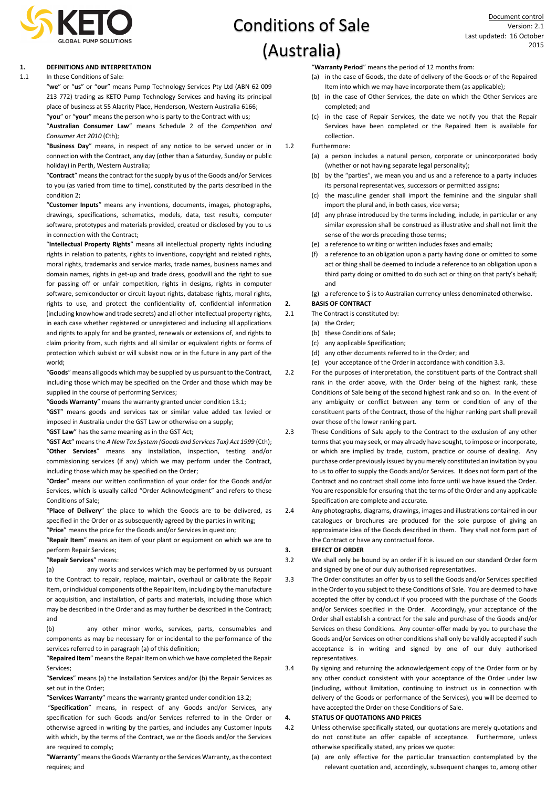

# Conditions of Sale (Australia)

# **1. DEFINITIONS AND INTERPRETATION**

# 1.1 In these Conditions of Sale:

"**we**" or "**us**" or "**our**" means Pump Technology Services Pty Ltd (ABN 62 009 213 772) trading as KETO Pump Technology Services and having its principal place of business at 55 Alacrity Place, Henderson, Western Australia 6166; "**you**" or "**your**" means the person who is party to the Contract with us;

"**Australian Consumer Law**" means Schedule 2 of the *Competition and Consumer Act 2010* (Cth);

"**Business Day**" means, in respect of any notice to be served under or in connection with the Contract, any day (other than a Saturday, Sunday or public holiday) in Perth, Western Australia;

"**Contract**" means the contract for the supply by us of the Goods and/or Services to you (as varied from time to time), constituted by the parts described in the condition 2;

"**Customer Inputs**" means any inventions, documents, images, photographs, drawings, specifications, schematics, models, data, test results, computer software, prototypes and materials provided, created or disclosed by you to us in connection with the Contract;

"**Intellectual Property Rights**" means all intellectual property rights including rights in relation to patents, rights to inventions, copyright and related rights, moral rights, trademarks and service marks, trade names, business names and domain names, rights in get-up and trade dress, goodwill and the right to sue for passing off or unfair competition, rights in designs, rights in computer software, semiconductor or circuit layout rights, database rights, moral rights, rights to use, and protect the confidentiality of, confidential information (including knowhow and trade secrets) and all other intellectual property rights, in each case whether registered or unregistered and including all applications and rights to apply for and be granted, renewals or extensions of, and rights to claim priority from, such rights and all similar or equivalent rights or forms of protection which subsist or will subsist now or in the future in any part of the world;

"**Goods**" means all goods which may be supplied by us pursuant to the Contract, including those which may be specified on the Order and those which may be supplied in the course of performing Services;

"**Goods Warranty**" means the warranty granted under condition 13.1;

"**GST**" means goods and services tax or similar value added tax levied or imposed in Australia under the GST Law or otherwise on a supply;

"**GST Law**" has the same meaning as in the GST Act;

"**GST Act**" means the *A New Tax System (Goods and Services Tax) Act 1999* (Cth); "**Other Services**" means any installation, inspection, testing and/or commissioning services (if any) which we may perform under the Contract, including those which may be specified on the Order;

"**Order**" means our written confirmation of your order for the Goods and/or Services, which is usually called "Order Acknowledgment" and refers to these Conditions of Sale;

"**Place of Delivery**" the place to which the Goods are to be delivered, as specified in the Order or as subsequently agreed by the parties in writing;

"**Price**" means the price for the Goods and/or Services in question;

"**Repair Item**" means an item of your plant or equipment on which we are to perform Repair Services;

"**Repair Services**" means:

(a) any works and services which may be performed by us pursuant to the Contract to repair, replace, maintain, overhaul or calibrate the Repair Item, or individual components of the Repair Item, including by the manufacture or acquisition, and installation, of parts and materials, including those which may be described in the Order and as may further be described in the Contract; and

(b) any other minor works, services, parts, consumables and components as may be necessary for or incidental to the performance of the services referred to in paragraph (a) of this definition;

"**Repaired Item**" means the Repair Item on which we have completed the Repair Services;

"**Services**" means (a) the Installation Services and/or (b) the Repair Services as set out in the Order;

"**Services Warranty**" means the warranty granted under condition 13.2;

"**Specification**" means, in respect of any Goods and/or Services, any specification for such Goods and/or Services referred to in the Order or otherwise agreed in writing by the parties, and includes any Customer Inputs with which, by the terms of the Contract, we or the Goods and/or the Services are required to comply;

"**Warranty**" means the Goods Warranty or the Services Warranty, as the context requires; and

"**Warranty Period**" means the period of 12 months from:

- (a) in the case of Goods, the date of delivery of the Goods or of the Repaired Item into which we may have incorporate them (as applicable);
- (b) in the case of Other Services, the date on which the Other Services are completed; and
- (c) in the case of Repair Services, the date we notify you that the Repair Services have been completed or the Repaired Item is available for collection.
- 1.2 Furthermore:
	- (a) a person includes a natural person, corporate or unincorporated body (whether or not having separate legal personality);
	- (b) by the "parties", we mean you and us and a reference to a party includes its personal representatives, successors or permitted assigns;
	- (c) the masculine gender shall import the feminine and the singular shall import the plural and, in both cases, vice versa;
	- (d) any phrase introduced by the terms including, include, in particular or any similar expression shall be construed as illustrative and shall not limit the sense of the words preceding those terms;
	- (e) a reference to writing or written includes faxes and emails;
	- (f) a reference to an obligation upon a party having done or omitted to some act or thing shall be deemed to include a reference to an obligation upon a third party doing or omitted to do such act or thing on that party's behalf; and

(g) a reference to \$ is to Australian currency unless denominated otherwise.

# **2. BASIS OF CONTRACT**

- 2.1 The Contract is constituted by:
	- (a) the Order;
	- (b) these Conditions of Sale;
	- (c) any applicable Specification;
	- (d) any other documents referred to in the Order; and
	- (e) your acceptance of the Order in accordance with condition 3.3.
- 2.2 For the purposes of interpretation, the constituent parts of the Contract shall rank in the order above, with the Order being of the highest rank, these Conditions of Sale being of the second highest rank and so on. In the event of any ambiguity or conflict between any term or condition of any of the constituent parts of the Contract, those of the higher ranking part shall prevail over those of the lower ranking part.
- 2.3 These Conditions of Sale apply to the Contract to the exclusion of any other terms that you may seek, or may already have sought, to impose or incorporate, or which are implied by trade, custom, practice or course of dealing. Any purchase order previously issued by you merely constituted an invitation by you to us to offer to supply the Goods and/or Services. It does not form part of the Contract and no contract shall come into force until we have issued the Order. You are responsible for ensuring that the terms of the Order and any applicable Specification are complete and accurate.
- 2.4 Any photographs, diagrams, drawings, images and illustrations contained in our catalogues or brochures are produced for the sole purpose of giving an approximate idea of the Goods described in them. They shall not form part of the Contract or have any contractual force.

# **3. EFFECT OF ORDER**

- 3.2 We shall only be bound by an order if it is issued on our standard Order form and signed by one of our duly authorised representatives.
- 3.3 The Order constitutes an offer by us to sell the Goods and/or Services specified in the Order to you subject to these Conditions of Sale. You are deemed to have accepted the offer by conduct if you proceed with the purchase of the Goods and/or Services specified in the Order. Accordingly, your acceptance of the Order shall establish a contract for the sale and purchase of the Goods and/or Services on these Conditions. Any counter-offer made by you to purchase the Goods and/or Services on other conditions shall only be validly accepted if such acceptance is in writing and signed by one of our duly authorised representatives.
- 3.4 By signing and returning the acknowledgement copy of the Order form or by any other conduct consistent with your acceptance of the Order under law (including, without limitation, continuing to instruct us in connection with delivery of the Goods or performance of the Services), you will be deemed to have accepted the Order on these Conditions of Sale.

# **4. STATUS OF QUOTATIONS AND PRICES**

- 4.2 Unless otherwise specifically stated, our quotations are merely quotations and do not constitute an offer capable of acceptance. Furthermore, unless otherwise specifically stated, any prices we quote:
	- (a) are only effective for the particular transaction contemplated by the relevant quotation and, accordingly, subsequent changes to, among other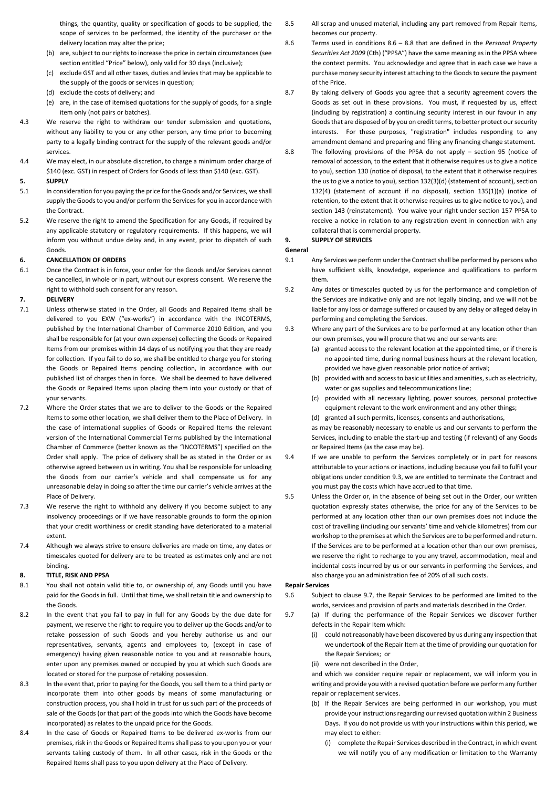things, the quantity, quality or specification of goods to be supplied, the scope of services to be performed, the identity of the purchaser or the delivery location may alter the price;

- (b) are, subject to our rights to increase the price in certain circumstances (see section entitled "Price" below), only valid for 30 days (inclusive);
- (c) exclude GST and all other taxes, duties and levies that may be applicable to the supply of the goods or services in question;
- (d) exclude the costs of delivery; and
- (e) are, in the case of itemised quotations for the supply of goods, for a single item only (not pairs or batches).
- 4.3 We reserve the right to withdraw our tender submission and quotations, without any liability to you or any other person, any time prior to becoming party to a legally binding contract for the supply of the relevant goods and/or services.
- 4.4 We may elect, in our absolute discretion, to charge a minimum order charge of \$140 (exc. GST) in respect of Orders for Goods of less than \$140 (exc. GST).

# **5. SUPPLY**

- 5.1 In consideration for you paying the price for the Goods and/or Services, we shall supply the Goods to you and/or perform the Services for you in accordance with the Contract.
- 5.2 We reserve the right to amend the Specification for any Goods, if required by any applicable statutory or regulatory requirements. If this happens, we will inform you without undue delay and, in any event, prior to dispatch of such Goods.

# **6. CANCELLATION OF ORDERS**

6.1 Once the Contract is in force, your order for the Goods and/or Services cannot be cancelled, in whole or in part, without our express consent. We reserve the right to withhold such consent for any reason.

## **7. DELIVERY**

- 7.1 Unless otherwise stated in the Order, all Goods and Repaired Items shall be delivered to you EXW ("ex-works") in accordance with the INCOTERMS, published by the International Chamber of Commerce 2010 Edition, and you shall be responsible for (at your own expense) collecting the Goods or Repaired Items from our premises within 14 days of us notifying you that they are ready for collection. If you fail to do so, we shall be entitled to charge you for storing the Goods or Repaired Items pending collection, in accordance with our published list of charges then in force. We shall be deemed to have delivered the Goods or Repaired Items upon placing them into your custody or that of your servants.
- 7.2 Where the Order states that we are to deliver to the Goods or the Repaired Items to some other location, we shall deliver them to the Place of Delivery. In the case of international supplies of Goods or Repaired Items the relevant version of the International Commercial Terms published by the International Chamber of Commerce (better known as the "INCOTERMS") specified on the Order shall apply. The price of delivery shall be as stated in the Order or as otherwise agreed between us in writing. You shall be responsible for unloading the Goods from our carrier's vehicle and shall compensate us for any unreasonable delay in doing so after the time our carrier's vehicle arrives at the Place of Delivery.
- 7.3 We reserve the right to withhold any delivery if you become subject to any insolvency proceedings or if we have reasonable grounds to form the opinion that your credit worthiness or credit standing have deteriorated to a material extent.
- 7.4 Although we always strive to ensure deliveries are made on time, any dates or timescales quoted for delivery are to be treated as estimates only and are not binding.

### **8. TITLE, RISK AND PPSA**

- 8.1 You shall not obtain valid title to, or ownership of, any Goods until you have paid for the Goods in full. Until that time, we shall retain title and ownership to the Goods.
- 8.2 In the event that you fail to pay in full for any Goods by the due date for payment, we reserve the right to require you to deliver up the Goods and/or to retake possession of such Goods and you hereby authorise us and our representatives, servants, agents and employees to, (except in case of emergency) having given reasonable notice to you and at reasonable hours, enter upon any premises owned or occupied by you at which such Goods are located or stored for the purpose of retaking possession.
- 8.3 In the event that, prior to paying for the Goods, you sell them to a third party or incorporate them into other goods by means of some manufacturing or construction process, you shall hold in trust for us such part of the proceeds of sale of the Goods (or that part of the goods into which the Goods have become incorporated) as relates to the unpaid price for the Goods.
- 8.4 In the case of Goods or Repaired Items to be delivered ex-works from our premises, risk in the Goods or Repaired Items shall pass to you upon you or your servants taking custody of them. In all other cases, risk in the Goods or the Repaired Items shall pass to you upon delivery at the Place of Delivery.
- 8.5 All scrap and unused material, including any part removed from Repair Items, becomes our property.
- 8.6 Terms used in conditions 8.6 8.8 that are defined in the *Personal Property Securities Act 2009* (Cth) ("PPSA") have the same meaning as in the PPSA where the context permits. You acknowledge and agree that in each case we have a purchase money security interest attaching to the Goods to secure the payment of the Price.
- 8.7 By taking delivery of Goods you agree that a security agreement covers the Goods as set out in these provisions. You must, if requested by us, effect (including by registration) a continuing security interest in our favour in any Goods that are disposed of by you on credit terms, to better protect our security interests. For these purposes, "registration" includes responding to any amendment demand and preparing and filing any financing change statement.
- 8.8 The following provisions of the PPSA do not apply section 95 (notice of removal of accession, to the extent that it otherwise requires us to give a notice to you), section 130 (notice of disposal, to the extent that it otherwise requires the us to give a notice to you), section 132(3)(d) (statement of account), section 132(4) (statement of account if no disposal), section 135(1)(a) (notice of retention, to the extent that it otherwise requires us to give notice to you), and section 143 (reinstatement). You waive your right under section 157 PPSA to receive a notice in relation to any registration event in connection with any collateral that is commercial property.

### **9. SUPPLY OF SERVICES**

#### **General**

- 9.1 Any Services we perform under the Contract shall be performed by persons who have sufficient skills, knowledge, experience and qualifications to perform them.
- 9.2 Any dates or timescales quoted by us for the performance and completion of the Services are indicative only and are not legally binding, and we will not be liable for any loss or damage suffered or caused by any delay or alleged delay in performing and completing the Services.
- 9.3 Where any part of the Services are to be performed at any location other than our own premises, you will procure that we and our servants are:
	- (a) granted access to the relevant location at the appointed time, or if there is no appointed time, during normal business hours at the relevant location, provided we have given reasonable prior notice of arrival;
	- (b) provided with and access to basic utilities and amenities, such as electricity, water or gas supplies and telecommunications line;
	- (c) provided with all necessary lighting, power sources, personal protective equipment relevant to the work environment and any other things;
	- (d) granted all such permits, licenses, consents and authorisations,

as may be reasonably necessary to enable us and our servants to perform the Services, including to enable the start-up and testing (if relevant) of any Goods or Repaired Items (as the case may be).

- 9.4 If we are unable to perform the Services completely or in part for reasons attributable to your actions or inactions, including because you fail to fulfil your obligations under condition 9.3, we are entitled to terminate the Contract and you must pay the costs which have accrued to that time.
- 9.5 Unless the Order or, in the absence of being set out in the Order, our written quotation expressly states otherwise, the price for any of the Services to be performed at any location other than our own premises does not include the cost of travelling (including our servants' time and vehicle kilometres) from our workshop to the premises at which the Services are to be performed and return. If the Services are to be performed at a location other than our own premises, we reserve the right to recharge to you any travel, accommodation, meal and incidental costs incurred by us or our servants in performing the Services, and also charge you an administration fee of 20% of all such costs.

### **Repair Services**

- 9.6 Subject to clause 9.7, the Repair Services to be performed are limited to the works, services and provision of parts and materials described in the Order.
- 9.7 (a) If during the performance of the Repair Services we discover further defects in the Repair Item which:
	- (i) could not reasonably have been discovered by us during any inspection that we undertook of the Repair Item at the time of providing our quotation for the Repair Services; or
	- (ii) were not described in the Order,

and which we consider require repair or replacement, we will inform you in writing and provide you with a revised quotation before we perform any further repair or replacement services.

- (b) If the Repair Services are being performed in our workshop, you must provide your instructions regarding our revised quotation within 2 Business Days. If you do not provide us with your instructions within this period, we may elect to either:
	- (i) complete the Repair Services described in the Contract, in which event we will notify you of any modification or limitation to the Warranty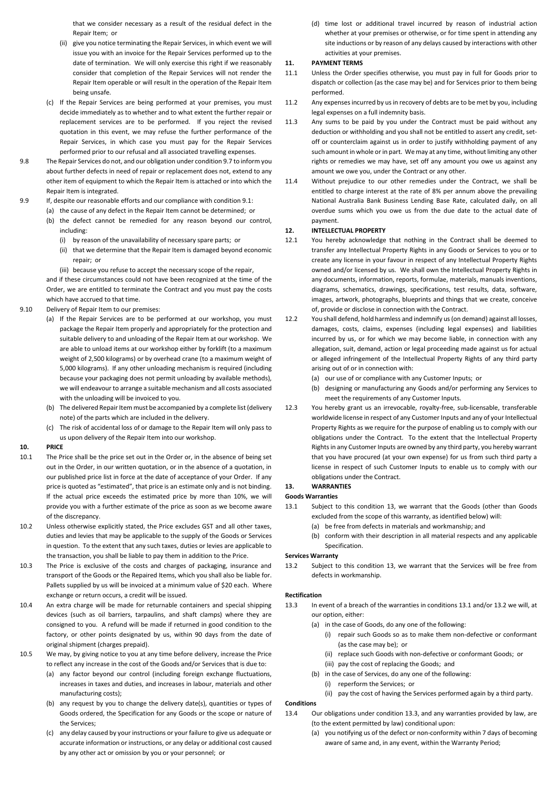that we consider necessary as a result of the residual defect in the Repair Item; or

- (ii) give you notice terminating the Repair Services, in which event we will issue you with an invoice for the Repair Services performed up to the date of termination. We will only exercise this right if we reasonably consider that completion of the Repair Services will not render the Repair Item operable or will result in the operation of the Repair Item being unsafe.
- (c) If the Repair Services are being performed at your premises, you must decide immediately as to whether and to what extent the further repair or replacement services are to be performed. If you reject the revised quotation in this event, we may refuse the further performance of the Repair Services, in which case you must pay for the Repair Services performed prior to our refusal and all associated travelling expenses.
- 9.8 The Repair Services do not, and our obligation under condition 9.7 to inform you about further defects in need of repair or replacement does not, extend to any other item of equipment to which the Repair Item is attached or into which the Repair Item is integrated.
- 9.9 If, despite our reasonable efforts and our compliance with condition 9.1:
	- (a) the cause of any defect in the Repair Item cannot be determined; or
		- (b) the defect cannot be remedied for any reason beyond our control, including:
			- (i) by reason of the unavailability of necessary spare parts; or
			- (ii) that we determine that the Repair Item is damaged beyond economic repair; or
			- (iii) because you refuse to accept the necessary scope of the repair,

and if these circumstances could not have been recognized at the time of the Order, we are entitled to terminate the Contract and you must pay the costs which have accrued to that time.

- 9.10 Delivery of Repair Item to our premises:
	- (a) If the Repair Services are to be performed at our workshop, you must package the Repair Item properly and appropriately for the protection and suitable delivery to and unloading of the Repair Item at our workshop. We are able to unload items at our workshop either by forklift (to a maximum weight of 2,500 kilograms) or by overhead crane (to a maximum weight of 5,000 kilograms). If any other unloading mechanism is required (including because your packaging does not permit unloading by available methods), we will endeavour to arrange a suitable mechanism and all costs associated with the unloading will be invoiced to you.
	- (b) The delivered Repair Item must be accompanied by a complete list (delivery note) of the parts which are included in the delivery.
	- (c) The risk of accidental loss of or damage to the Repair Item will only pass to us upon delivery of the Repair Item into our workshop.

## **10. PRICE**

- 10.1 The Price shall be the price set out in the Order or, in the absence of being set out in the Order, in our written quotation, or in the absence of a quotation, in our published price list in force at the date of acceptance of your Order. If any price is quoted as "estimated", that price is an estimate only and is not binding. If the actual price exceeds the estimated price by more than 10%, we will provide you with a further estimate of the price as soon as we become aware of the discrepancy.
- 10.2 Unless otherwise explicitly stated, the Price excludes GST and all other taxes, duties and levies that may be applicable to the supply of the Goods or Services in question. To the extent that any such taxes, duties or levies are applicable to the transaction, you shall be liable to pay them in addition to the Price.
- 10.3 The Price is exclusive of the costs and charges of packaging, insurance and transport of the Goods or the Repaired Items, which you shall also be liable for. Pallets supplied by us will be invoiced at a minimum value of \$20 each. Where exchange or return occurs, a credit will be issued.
- 10.4 An extra charge will be made for returnable containers and special shipping devices (such as oil barriers, tarpaulins, and shaft clamps) where they are consigned to you. A refund will be made if returned in good condition to the factory, or other points designated by us, within 90 days from the date of original shipment (charges prepaid).
- 10.5 We may, by giving notice to you at any time before delivery, increase the Price to reflect any increase in the cost of the Goods and/or Services that is due to:
	- (a) any factor beyond our control (including foreign exchange fluctuations, increases in taxes and duties, and increases in labour, materials and other manufacturing costs);
	- (b) any request by you to change the delivery date(s), quantities or types of Goods ordered, the Specification for any Goods or the scope or nature of the Services;
	- (c) any delay caused by your instructions or your failure to give us adequate or accurate information or instructions, or any delay or additional cost caused by any other act or omission by you or your personnel; or

(d) time lost or additional travel incurred by reason of industrial action whether at your premises or otherwise, or for time spent in attending any site inductions or by reason of any delays caused by interactions with other activities at your premises.

#### **11. PAYMENT TERMS**

- 11.1 Unless the Order specifies otherwise, you must pay in full for Goods prior to dispatch or collection (as the case may be) and for Services prior to them being performed.
- 11.2 Any expenses incurred by us in recovery of debts are to be met by you, including legal expenses on a full indemnity basis.
- 11.3 Any sums to be paid by you under the Contract must be paid without any deduction or withholding and you shall not be entitled to assert any credit, setoff or counterclaim against us in order to justify withholding payment of any such amount in whole or in part. We may at any time, without limiting any other rights or remedies we may have, set off any amount you owe us against any amount we owe you, under the Contract or any other.
- 11.4 Without prejudice to our other remedies under the Contract, we shall be entitled to charge interest at the rate of 8% per annum above the prevailing National Australia Bank Business Lending Base Rate, calculated daily, on all overdue sums which you owe us from the due date to the actual date of payment.

# **12. INTELLECTUAL PROPERTY**

- 12.1 You hereby acknowledge that nothing in the Contract shall be deemed to transfer any Intellectual Property Rights in any Goods or Services to you or to create any license in your favour in respect of any Intellectual Property Rights owned and/or licensed by us. We shall own the Intellectual Property Rights in any documents, information, reports, formulae, materials, manuals inventions, diagrams, schematics, drawings, specifications, test results, data, software, images, artwork, photographs, blueprints and things that we create, conceive of, provide or disclose in connection with the Contract.
- 12.2 You shall defend, hold harmless and indemnify us (on demand) against all losses, damages, costs, claims, expenses (including legal expenses) and liabilities incurred by us, or for which we may become liable, in connection with any allegation, suit, demand, action or legal proceeding made against us for actual or alleged infringement of the Intellectual Property Rights of any third party arising out of or in connection with:
	- (a) our use of or compliance with any Customer Inputs; or
	- (b) designing or manufacturing any Goods and/or performing any Services to meet the requirements of any Customer Inputs.
- 12.3 You hereby grant us an irrevocable, royalty-free, sub-licensable, transferable worldwide license in respect of any Customer Inputs and any of your Intellectual Property Rights as we require for the purpose of enabling us to comply with our obligations under the Contract. To the extent that the Intellectual Property Rights in any Customer Inputs are owned by any third party, you hereby warrant that you have procured (at your own expense) for us from such third party a license in respect of such Customer Inputs to enable us to comply with our obligations under the Contract.

# **13. WARRANTIES**

# **Goods Warranties**

- 13.1 Subject to this condition 13, we warrant that the Goods (other than Goods excluded from the scope of this warranty, as identified below) will:
	- (a) be free from defects in materials and workmanship; and
	- (b) conform with their description in all material respects and any applicable Specification.

# **Services Warranty**

13.2 Subject to this condition 13, we warrant that the Services will be free from defects in workmanship.

#### **Rectification**

- 13.3 In event of a breach of the warranties in conditions 13.1 and/or 13.2 we will, at our option, either:
	- (a) in the case of Goods, do any one of the following:
		- (i) repair such Goods so as to make them non-defective or conformant (as the case may be); or
		- (ii) replace such Goods with non-defective or conformant Goods; or
		- (iii) pay the cost of replacing the Goods; and
	- (b) in the case of Services, do any one of the following:
	- (i) reperform the Services; or

(ii) pay the cost of having the Services performed again by a third party.

# **Conditions**

- 13.4 Our obligations under condition 13.3, and any warranties provided by law, are (to the extent permitted by law) conditional upon:
	- (a) you notifying us of the defect or non-conformity within 7 days of becoming aware of same and, in any event, within the Warranty Period;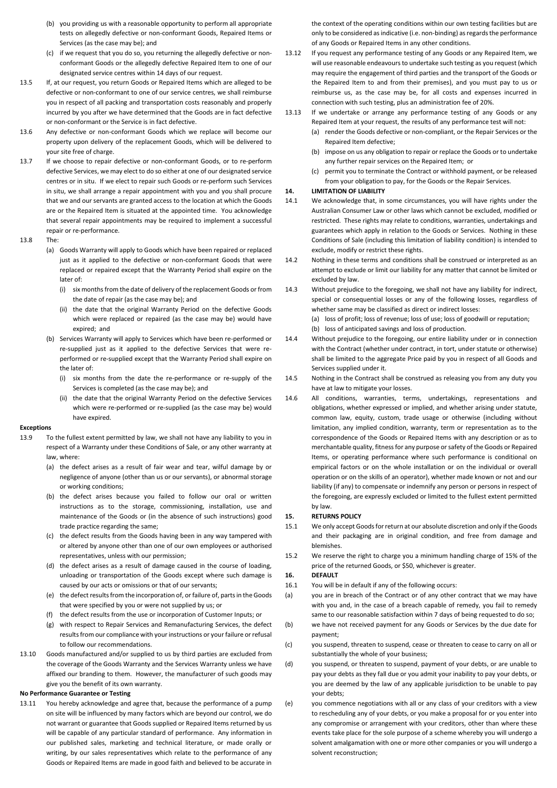- (b) you providing us with a reasonable opportunity to perform all appropriate tests on allegedly defective or non-conformant Goods, Repaired Items or Services (as the case may be); and
- (c) if we request that you do so, you returning the allegedly defective or nonconformant Goods or the allegedly defective Repaired Item to one of our designated service centres within 14 days of our request.
- 13.5 If, at our request, you return Goods or Repaired Items which are alleged to be defective or non-conformant to one of our service centres, we shall reimburse you in respect of all packing and transportation costs reasonably and properly incurred by you after we have determined that the Goods are in fact defective or non-conformant or the Service is in fact defective.
- 13.6 Any defective or non-conformant Goods which we replace will become our property upon delivery of the replacement Goods, which will be delivered to your site free of charge.
- 13.7 If we choose to repair defective or non-conformant Goods, or to re-perform defective Services, we may elect to do so either at one of our designated service centres or in situ. If we elect to repair such Goods or re-perform such Services in situ, we shall arrange a repair appointment with you and you shall procure that we and our servants are granted access to the location at which the Goods are or the Repaired Item is situated at the appointed time. You acknowledge that several repair appointments may be required to implement a successful repair or re-performance.

## 13.8 The:

- (a) Goods Warranty will apply to Goods which have been repaired or replaced just as it applied to the defective or non-conformant Goods that were replaced or repaired except that the Warranty Period shall expire on the later of:
	- (i) six months from the date of delivery of the replacement Goods or from the date of repair (as the case may be); and
	- (ii) the date that the original Warranty Period on the defective Goods which were replaced or repaired (as the case may be) would have expired; and
- (b) Services Warranty will apply to Services which have been re-performed or re-supplied just as it applied to the defective Services that were reperformed or re-supplied except that the Warranty Period shall expire on the later of:
	- (i) six months from the date the re-performance or re-supply of the Services is completed (as the case may be); and
	- (ii) the date that the original Warranty Period on the defective Services which were re-performed or re-supplied (as the case may be) would have expired.

#### **Exceptions**

- 13.9 To the fullest extent permitted by law, we shall not have any liability to you in respect of a Warranty under these Conditions of Sale, or any other warranty at law, where:
	- (a) the defect arises as a result of fair wear and tear, wilful damage by or negligence of anyone (other than us or our servants), or abnormal storage or working conditions;
	- (b) the defect arises because you failed to follow our oral or written instructions as to the storage, commissioning, installation, use and maintenance of the Goods or (in the absence of such instructions) good trade practice regarding the same;
	- (c) the defect results from the Goods having been in any way tampered with or altered by anyone other than one of our own employees or authorised representatives, unless with our permission;
	- (d) the defect arises as a result of damage caused in the course of loading, unloading or transportation of the Goods except where such damage is caused by our acts or omissions or that of our servants;
	- (e) the defect results from the incorporation of, or failure of, parts in the Goods that were specified by you or were not supplied by us; or
	- (f) the defect results from the use or incorporation of Customer Inputs; or
	- (g) with respect to Repair Services and Remanufacturing Services, the defect results from our compliance with your instructions or your failure or refusal to follow our recommendations.
- 13.10 Goods manufactured and/or supplied to us by third parties are excluded from the coverage of the Goods Warranty and the Services Warranty unless we have affixed our branding to them. However, the manufacturer of such goods may give you the benefit of its own warranty.

# **No Performance Guarantee or Testing**

13.11 You hereby acknowledge and agree that, because the performance of a pump on site will be influenced by many factors which are beyond our control, we do not warrant or guarantee that Goods supplied or Repaired Items returned by us will be capable of any particular standard of performance. Any information in our published sales, marketing and technical literature, or made orally or writing, by our sales representatives which relate to the performance of any Goods or Repaired Items are made in good faith and believed to be accurate in the context of the operating conditions within our own testing facilities but are only to be considered as indicative (i.e. non-binding) as regards the performance of any Goods or Repaired Items in any other conditions.

- 13.12 If you request any performance testing of any Goods or any Repaired Item, we will use reasonable endeavours to undertake such testing as you request (which may require the engagement of third parties and the transport of the Goods or the Repaired Item to and from their premises), and you must pay to us or reimburse us, as the case may be, for all costs and expenses incurred in connection with such testing, plus an administration fee of 20%.
- 13.13 If we undertake or arrange any performance testing of any Goods or any Repaired Item at your request, the results of any performance test will not:
	- (a) render the Goods defective or non-compliant, or the Repair Services or the Repaired Item defective;
	- (b) impose on us any obligation to repair or replace the Goods or to undertake any further repair services on the Repaired Item; or
	- (c) permit you to terminate the Contract or withhold payment, or be released from your obligation to pay, for the Goods or the Repair Services.

# **14. LIMITATION OF LIABILITY**

- 14.1 We acknowledge that, in some circumstances, you will have rights under the Australian Consumer Law or other laws which cannot be excluded, modified or restricted. These rights may relate to conditions, warranties, undertakings and guarantees which apply in relation to the Goods or Services. Nothing in these Conditions of Sale (including this limitation of liability condition) is intended to exclude, modify or restrict these rights.
- 14.2 Nothing in these terms and conditions shall be construed or interpreted as an attempt to exclude or limit our liability for any matter that cannot be limited or excluded by law.
- 14.3 Without prejudice to the foregoing, we shall not have any liability for indirect, special or consequential losses or any of the following losses, regardless of whether same may be classified as direct or indirect losses:
	- (a) loss of profit; loss of revenue; loss of use; loss of goodwill or reputation; (b) loss of anticipated savings and loss of production.
- 14.4 Without prejudice to the foregoing, our entire liability under or in connection with the Contract (whether under contract, in tort, under statute or otherwise) shall be limited to the aggregate Price paid by you in respect of all Goods and Services supplied under it.
- 14.5 Nothing in the Contract shall be construed as releasing you from any duty you have at law to mitigate your losses.
- 14.6 All conditions, warranties, terms, undertakings, representations and obligations, whether expressed or implied, and whether arising under statute, common law, equity, custom, trade usage or otherwise (including without limitation, any implied condition, warranty, term or representation as to the correspondence of the Goods or Repaired Items with any description or as to merchantable quality, fitness for any purpose or safety of the Goods or Repaired Items, or operating performance where such performance is conditional on empirical factors or on the whole installation or on the individual or overall operation or on the skills of an operator), whether made known or not and our liability (if any) to compensate or indemnify any person or persons in respect of the foregoing, are expressly excluded or limited to the fullest extent permitted by law.

#### **15. RETURNS POLICY**

- 15.1 We only accept Goods for return at our absolute discretion and only if the Goods and their packaging are in original condition, and free from damage and blemishes.
- 15.2 We reserve the right to charge you a minimum handling charge of 15% of the price of the returned Goods, or \$50, whichever is greater.

# **16. DEFAULT**

- 16.1 You will be in default if any of the following occurs:
- (a) you are in breach of the Contract or of any other contract that we may have with you and, in the case of a breach capable of remedy, you fail to remedy same to our reasonable satisfaction within 7 days of being requested to do so;
- (b) we have not received payment for any Goods or Services by the due date for payment;
- (c) you suspend, threaten to suspend, cease or threaten to cease to carry on all or substantially the whole of your business;
- (d) you suspend, or threaten to suspend, payment of your debts, or are unable to pay your debts as they fall due or you admit your inability to pay your debts, or you are deemed by the law of any applicable jurisdiction to be unable to pay your debts;
- (e) you commence negotiations with all or any class of your creditors with a view to rescheduling any of your debts, or you make a proposal for or you enter into any compromise or arrangement with your creditors, other than where these events take place for the sole purpose of a scheme whereby you will undergo a solvent amalgamation with one or more other companies or you will undergo a solvent reconstruction;